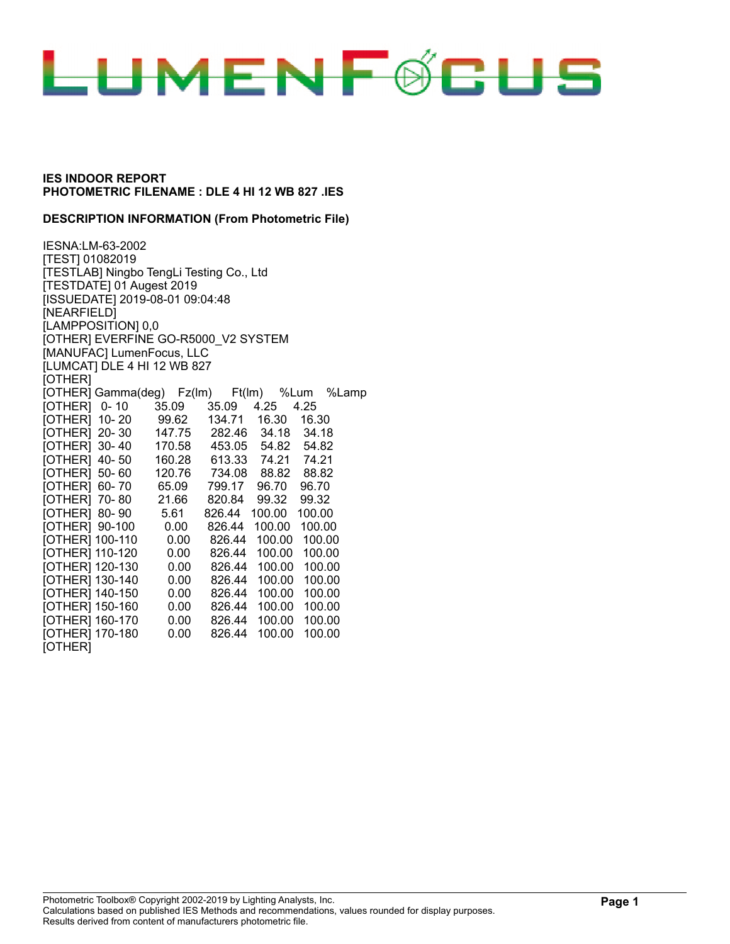

#### **DESCRIPTION INFORMATION (From Photometric File)**

IESNA:LM-63-2002 [TEST] 01082019 [TESTLAB] Ningbo TengLi Testing Co., Ltd [TESTDATE] 01 Augest 2019 [ISSUEDATE] 2019-08-01 09:04:48 [NEARFIELD] [LAMPPOSITION] 0,0 [OTHER] EVERFINE GO-R5000\_V2 SYSTEM [MANUFAC] LumenFocus, LLC [LUMCAT] DLE 4 HI 12 WB 827 [OTHER] [OTHER] Gamma(deg) Fz(lm) Ft(lm) %Lum %Lamp [OTHER] 0- 10 35.09 35.09 4.25 4.25 [OTHER] 10- 20 99.62 134.71 16.30 16.30 [OTHER] 20- 30 147.75 282.46 34.18 34.18 [OTHER] 30- 40 170.58 453.05 54.82 54.82 [OTHER] 40- 50 160.28 613.33 74.21 74.21 [OTHER] 50- 60 120.76 734.08 88.82 88.82 [OTHER] 60- 70 65.09 799.17 96.70 96.70 [OTHER] 70- 80 21.66 820.84 99.32 99.32 [OTHER] 80- 90 5.61 826.44 100.00 100.00 [OTHER] 90-100 0.00 826.44 100.00 100.00 [OTHER] 100-110 0.00 826.44 100.00 100.00 [OTHER] 110-120 0.00 826.44 100.00 100.00 [OTHER] 120-130 0.00 826.44 100.00 100.00 [OTHER] 130-140 0.00 826.44 100.00 100.00 [OTHER] 140-150 0.00 826.44 100.00 100.00 [OTHER] 150-160 0.00 826.44 100.00 100.00 [OTHER] 160-170 0.00 826.44 100.00 100.00 [OTHER] 170-180 0.00 826.44 100.00 100.00 [OTHER]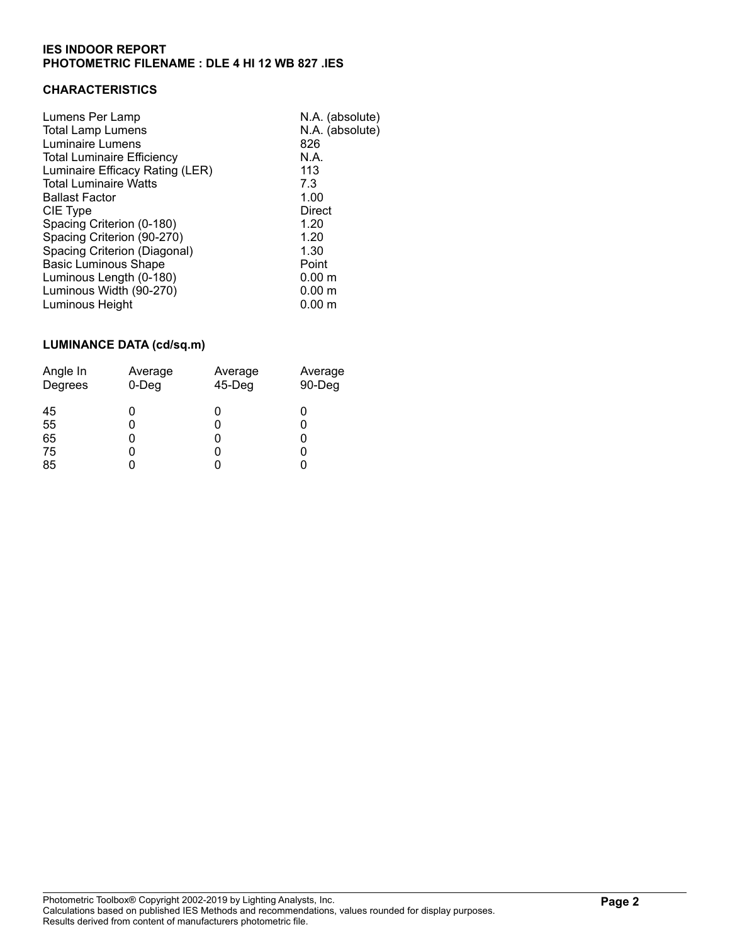# **CHARACTERISTICS**

| Lumens Per Lamp<br><b>Total Lamp Lumens</b><br>Luminaire Lumens      | N.A. (absolute)<br>N.A. (absolute)<br>826 |
|----------------------------------------------------------------------|-------------------------------------------|
| <b>Total Luminaire Efficiency</b><br>Luminaire Efficacy Rating (LER) | N.A.<br>113                               |
| <b>Total Luminaire Watts</b>                                         | 7.3                                       |
| <b>Ballast Factor</b>                                                | 1.00                                      |
| CIE Type                                                             | <b>Direct</b>                             |
| Spacing Criterion (0-180)                                            | 1.20                                      |
| Spacing Criterion (90-270)                                           | 1.20                                      |
| Spacing Criterion (Diagonal)                                         | 1.30                                      |
| <b>Basic Luminous Shape</b>                                          | Point                                     |
| Luminous Length (0-180)                                              | 0.00 <sub>m</sub>                         |
| Luminous Width (90-270)                                              | 0.00 <sub>m</sub>                         |
| Luminous Height                                                      | 0.00 <sub>m</sub>                         |

# **LUMINANCE DATA (cd/sq.m)**

| Angle In                   | Average     | Average   | Average |
|----------------------------|-------------|-----------|---------|
| Degrees                    | $0$ -Deg    | $45-$ Deg | 90-Deg  |
| 45<br>55<br>65<br>75<br>85 | 0<br>0<br>0 |           |         |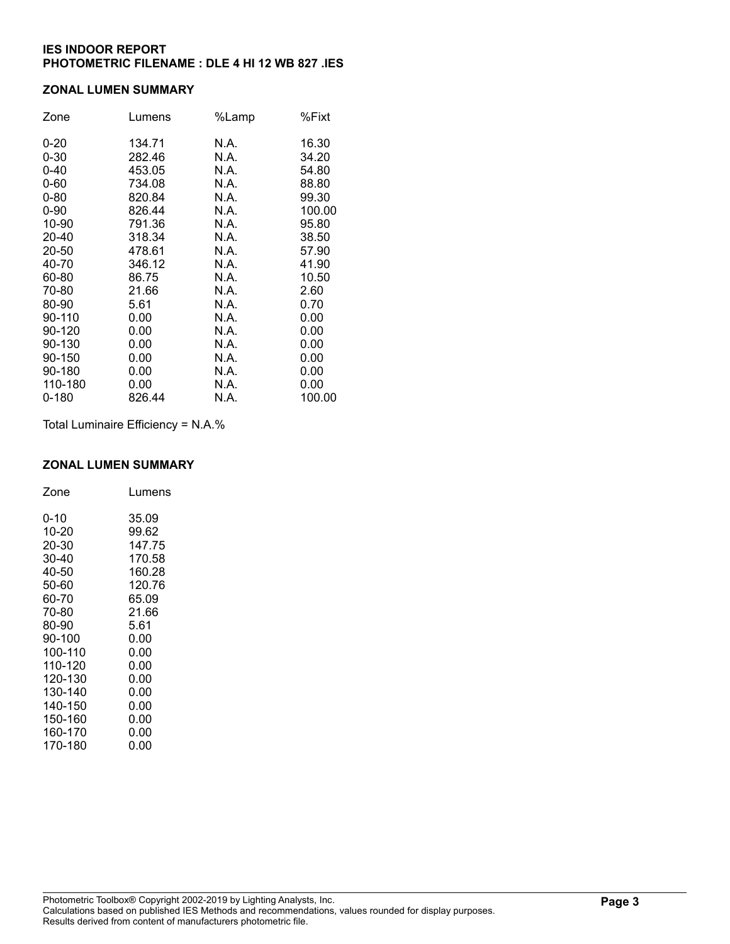## **ZONAL LUMEN SUMMARY**

| Zone      | Lumens | %Lamp | %Fixt  |
|-----------|--------|-------|--------|
| $0 - 20$  | 134.71 | N.A.  | 16.30  |
| $0 - 30$  | 282.46 | N.A.  | 34.20  |
| $0 - 40$  | 453.05 | N.A.  | 54.80  |
| $0 - 60$  | 734.08 | N.A.  | 88.80  |
| $0 - 80$  | 820.84 | N.A.  | 99.30  |
| $0 - 90$  | 826.44 | N.A.  | 100.00 |
| 10-90     | 791.36 | N.A.  | 95.80  |
| 20-40     | 318.34 | N.A.  | 38.50  |
| 20-50     | 478.61 | N.A.  | 57.90  |
| 40-70     | 346.12 | N.A.  | 41.90  |
| 60-80     | 86.75  | N.A.  | 10.50  |
| 70-80     | 21.66  | N.A.  | 2.60   |
| 80-90     | 5.61   | N.A.  | 0.70   |
| 90-110    | 0.00   | N.A.  | 0.00   |
| 90-120    | 0.00   | N.A.  | 0.00   |
| 90-130    | 0.00   | N.A.  | 0.00   |
| 90-150    | 0.00   | N.A.  | 0.00   |
| 90-180    | 0.00   | N.A.  | 0.00   |
| 110-180   | 0.00   | N.A.  | 0.00   |
| $0 - 180$ | 826.44 | N.A.  | 100.00 |

Total Luminaire Efficiency = N.A.%

#### **ZONAL LUMEN SUMMARY**

| Zone    | Lumens |
|---------|--------|
| 0-10    | 35.09  |
| 10-20   | 99.62  |
| 20-30   | 147.75 |
| 30-40   | 170.58 |
| 40-50   | 160.28 |
| 50-60   | 120.76 |
| 60-70   | 65.09  |
| 70-80   | 21.66  |
| 80-90   | 5.61   |
| 90-100  | 0.00   |
| 100-110 | 0.00   |
| 110-120 | 0.00   |
| 120-130 | 0.00   |
| 130-140 | 0.00   |
| 140-150 | 0.00   |
| 150-160 | 0.00   |
| 160-170 | 0.00   |
| 170-180 | 0.00   |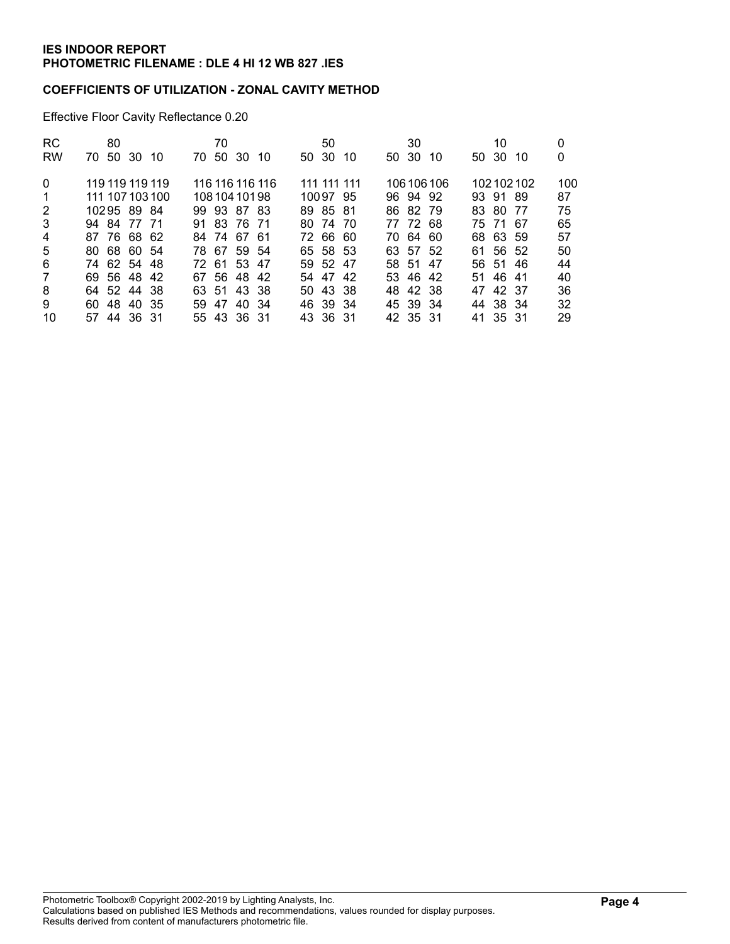## **COEFFICIENTS OF UTILIZATION - ZONAL CAVITY METHOD**

Effective Floor Cavity Reflectance 0.20

| <b>RC</b><br><b>RW</b> | 80<br>-50<br>30 10<br>70. | 70<br>50 30<br>70.<br>10 | 50<br>50 30<br>10 | 30<br>50 30<br>10 | 10<br>50 30<br>-10 | 0<br>0 |
|------------------------|---------------------------|--------------------------|-------------------|-------------------|--------------------|--------|
|                        |                           |                          |                   |                   |                    |        |
| $\Omega$               | 119 119 119 119           | 116 116 116 116          | 111 111 111       | 106 106 106       | 102102102          | 100    |
| 1                      | 111 107 103 100           | 108 104 101 98           | 10097 95          | 96 94 92          | 93 91 89           | 87     |
| 2                      | 10295 89 84               | 99 93 87 83              | 89 85 81          | 86 82 79          | 83 80<br>-77       | 75     |
| 3                      | 94 84 77 71               | 91 83 76 71              | 80 74 70          | 77 72 68          | 75 71 67           | 65     |
| 4                      | 87 76 68 62               | 84 74 67 61              | 72 66 60          | 70 64 60          | 68 63 59           | 57     |
| 5                      | 80 68 60 54               | 78 67 59 54              | 65 58 53          | 63 57 52          | 61 56 52           | 50     |
| 6                      | 74 62 54 48               | 72 61 53 47              | 59 52 47          | 58 51 47          | 56 51 46           | 44     |
| $\overline{7}$         | 69 56 48 42               | 67 56 48 42              | 54 47 42          | 53 46 42          | 51 46 41           | 40     |
| 8                      | 64 52 44 38               | 63 51 43 38              | 50 43 38          | 42 38<br>48.      | 42 37<br>47        | 36     |
| 9                      | 60 48 40 35               | 59 47 40 34              | 46 39 34          | 45 39 34          | 44 38 34           | 32     |
| 10                     | 57 44 36 31               | 55 43 36 31              | 43 36 31          | 42 35 31          | 41 35 31           | 29     |